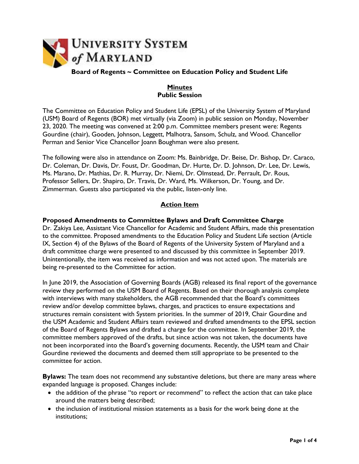

**Board of Regents ~ Committee on Education Policy and Student Life**

## **Minutes Public Session**

The Committee on Education Policy and Student Life (EPSL) of the University System of Maryland (USM) Board of Regents (BOR) met virtually (via Zoom) in public session on Monday, November 23, 2020. The meeting was convened at 2:00 p.m. Committee members present were: Regents Gourdine (chair), Gooden, Johnson, Leggett, Malhotra, Sansom, Schulz, and Wood. Chancellor Perman and Senior Vice Chancellor Joann Boughman were also present.

The following were also in attendance on Zoom: Ms. Bainbridge, Dr. Beise, Dr. Bishop, Dr. Caraco, Dr. Coleman, Dr. Davis, Dr. Foust, Dr. Goodman, Dr. Hurte, Dr. D. Johnson, Dr. Lee, Dr. Lewis, Ms. Marano, Dr. Mathias, Dr. R. Murray, Dr. Niemi, Dr. Olmstead, Dr. Perrault, Dr. Rous, Professor Sellers, Dr. Shapiro, Dr. Travis, Dr. Ward, Ms. Wilkerson, Dr. Young, and Dr. Zimmerman. Guests also participated via the public, listen-only line.

# **Action Item**

### **Proposed Amendments to Committee Bylaws and Draft Committee Charge**

Dr. Zakiya Lee, Assistant Vice Chancellor for Academic and Student Affairs, made this presentation to the committee. Proposed amendments to the Education Policy and Student Life section (Article IX, Section 4) of the Bylaws of the Board of Regents of the University System of Maryland and a draft committee charge were presented to and discussed by this committee in September 2019. Unintentionally, the item was received as information and was not acted upon. The materials are being re-presented to the Committee for action.

In June 2019, the Association of Governing Boards (AGB) released its final report of the governance review they performed on the USM Board of Regents. Based on their thorough analysis complete with interviews with many stakeholders, the AGB recommended that the Board's committees review and/or develop committee bylaws, charges, and practices to ensure expectations and structures remain consistent with System priorities. In the summer of 2019, Chair Gourdine and the USM Academic and Student Affairs team reviewed and drafted amendments to the EPSL section of the Board of Regents Bylaws and drafted a charge for the committee. In September 2019, the committee members approved of the drafts, but since action was not taken, the documents have not been incorporated into the Board's governing documents. Recently, the USM team and Chair Gourdine reviewed the documents and deemed them still appropriate to be presented to the committee for action.

**Bylaws:** The team does not recommend any substantive deletions, but there are many areas where expanded language is proposed. Changes include:

- the addition of the phrase "to report or recommend" to reflect the action that can take place around the matters being described;
- the inclusion of institutional mission statements as a basis for the work being done at the institutions;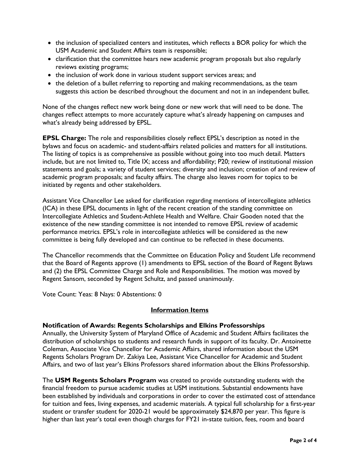- the inclusion of specialized centers and institutes, which reflects a BOR policy for which the USM Academic and Student Affairs team is responsible;
- clarification that the committee hears new academic program proposals but also regularly reviews existing programs;
- the inclusion of work done in various student support services areas; and
- the deletion of a bullet referring to reporting and making recommendations, as the team suggests this action be described throughout the document and not in an independent bullet.

None of the changes reflect new work being done or new work that will need to be done. The changes reflect attempts to more accurately capture what's already happening on campuses and what's already being addressed by EPSL.

**EPSL Charge:** The role and responsibilities closely reflect EPSL's description as noted in the bylaws and focus on academic- and student-affairs related policies and matters for all institutions. The listing of topics is as comprehensive as possible without going into too much detail. Matters include, but are not limited to, Title IX; access and affordability; P20; review of institutional mission statements and goals; a variety of student services; diversity and inclusion; creation of and review of academic program proposals; and faculty affairs. The charge also leaves room for topics to be initiated by regents and other stakeholders.

Assistant Vice Chancellor Lee asked for clarification regarding mentions of intercollegiate athletics (ICA) in these EPSL documents in light of the recent creation of the standing committee on Intercollegiate Athletics and Student-Athlete Health and Welfare. Chair Gooden noted that the existence of the new standing committee is not intended to remove EPSL review of academic performance metrics. EPSL's role in intercollegiate athletics will be considered as the new committee is being fully developed and can continue to be reflected in these documents.

The Chancellor recommends that the Committee on Education Policy and Student Life recommend that the Board of Regents approve (1) amendments to EPSL section of the Board of Regent Bylaws and (2) the EPSL Committee Charge and Role and Responsibilities. The motion was moved by Regent Sansom, seconded by Regent Schultz, and passed unanimously.

Vote Count: Yeas: 8 Nays: 0 Abstentions: 0

#### **Information Items**

### **Notification of Awards: Regents Scholarships and Elkins Professorships**

Annually, the University System of Maryland Office of Academic and Student Affairs facilitates the distribution of scholarships to students and research funds in support of its faculty. Dr. Antoinette Coleman, Associate Vice Chancellor for Academic Affairs, shared information about the USM Regents Scholars Program Dr. Zakiya Lee, Assistant Vice Chancellor for Academic and Student Affairs, and two of last year's Elkins Professors shared information about the Elkins Professorship.

The **USM Regents Scholars Program** was created to provide outstanding students with the financial freedom to pursue academic studies at USM institutions. Substantial endowments have been established by individuals and corporations in order to cover the estimated cost of attendance for tuition and fees, living expenses, and academic materials. A typical full scholarship for a first-year student or transfer student for 2020-21 would be approximately \$24,870 per year. This figure is higher than last year's total even though charges for FY21 in-state tuition, fees, room and board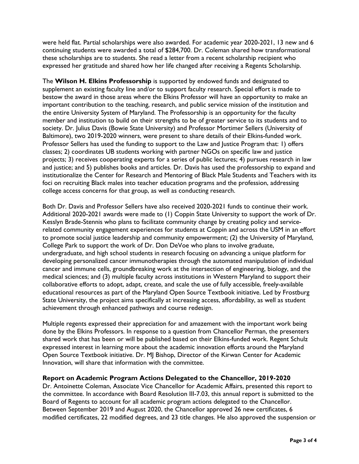were held flat. Partial scholarships were also awarded. For academic year 2020-2021, 13 new and 6 continuing students were awarded a total of \$284,700. Dr. Coleman shared how transformational these scholarships are to students. She read a letter from a recent scholarship recipient who expressed her gratitude and shared how her life changed after receiving a Regents Scholarship.

The **Wilson H. Elkins Professorship** is supported by endowed funds and designated to supplement an existing faculty line and/or to support faculty research. Special effort is made to bestow the award in those areas where the Elkins Professor will have an opportunity to make an important contribution to the teaching, research, and public service mission of the institution and the entire University System of Maryland. The Professorship is an opportunity for the faculty member and institution to build on their strengths to be of greater service to its students and to society. Dr. Julius Davis (Bowie State University) and Professor Mortimer Sellers (University of Baltimore), two 2019-2020 winners, were present to share details of their Elkins-funded work. Professor Sellers has used the funding to support to the Law and Justice Program that: 1) offers classes; 2) coordinates UB students working with partner NGOs on specific law and justice projects; 3) receives cooperating experts for a series of public lectures; 4) pursues research in law and justice; and 5) publishes books and articles. Dr. Davis has used the professorship to expand and institutionalize the Center for Research and Mentoring of Black Male Students and Teachers with its foci on recruiting Black males into teacher education programs and the profession, addressing college access concerns for that group, as well as conducting research.

Both Dr. Davis and Professor Sellers have also received 2020-2021 funds to continue their work. Additional 2020-2021 awards were made to (1) Coppin State University to support the work of Dr. Kesslyn Brade-Stennis who plans to facilitate community change by creating policy and servicerelated community engagement experiences for students at Coppin and across the USM in an effort to promote social justice leadership and community empowerment; (2) the University of Maryland, College Park to support the work of Dr. Don DeVoe who plans to involve graduate, undergraduate, and high school students in research focusing on advancing a unique platform for developing personalized cancer immunotherapies through the automated manipulation of individual cancer and immune cells, groundbreaking work at the intersection of engineering, biology, and the medical sciences; and (3) multiple faculty across institutions in Western Maryland to support their collaborative efforts to adopt, adapt, create, and scale the use of fully accessible, freely-available educational resources as part of the Maryland Open Source Textbook initiative. Led by Frostburg State University, the project aims specifically at increasing access, affordability, as well as student achievement through enhanced pathways and course redesign.

Multiple regents expressed their appreciation for and amazement with the important work being done by the Elkins Professors. In response to a question from Chancellor Perman, the presenters shared work that has been or will be published based on their Elkins-funded work. Regent Schulz expressed interest in learning more about the academic innovation efforts around the Maryland Open Source Textbook initiative. Dr. MJ Bishop, Director of the Kirwan Center for Academic Innovation, will share that information with the committee.

### **Report on Academic Program Actions Delegated to the Chancellor, 2019-2020**

Dr. Antoinette Coleman, Associate Vice Chancellor for Academic Affairs, presented this report to the committee. In accordance with Board Resolution III-7.03, this annual report is submitted to the Board of Regents to account for all academic program actions delegated to the Chancellor. Between September 2019 and August 2020, the Chancellor approved 26 new certificates, 6 modified certificates, 22 modified degrees, and 23 title changes. He also approved the suspension or